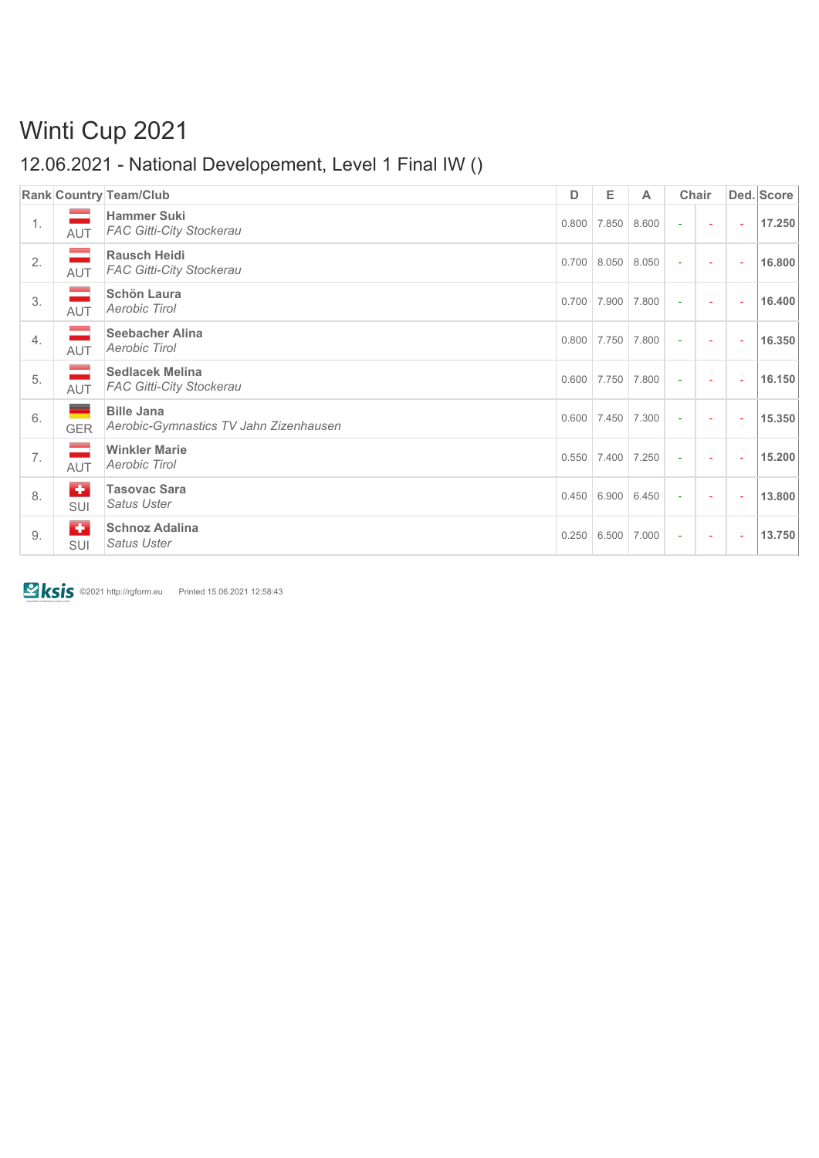# Winti Cup 2021

### 12.06.2021 - National Developement, Level 1 Final IW ()

|    |                             | <b>Rank Country Team/Club</b>                               | D     | Е                       | A     |               | Chair                    |          | Ded. Score |
|----|-----------------------------|-------------------------------------------------------------|-------|-------------------------|-------|---------------|--------------------------|----------|------------|
| 1. | <b>AUT</b>                  | <b>Hammer Suki</b><br><b>FAC Gitti-City Stockerau</b>       | 0.800 | 7.850                   | 8.600 | $\Delta \phi$ | ÷,                       | ÷.       | 17.250     |
| 2. | $\equiv$<br>AUT             | <b>Rausch Heidi</b><br><b>FAC Gitti-City Stockerau</b>      | 0.700 | 8.050                   | 8.050 | $\omega$      | ÷,                       | ÷,       | 16.800     |
| 3. | $\equiv$<br>AUT             | <b>Schön Laura</b><br>Aerobic Tirol                         | 0.700 | 7.900                   | 7.800 | ÷             | $\sim$                   | ÷        | 16.400     |
| 4. | -<br>AUT                    | <b>Seebacher Alina</b><br>Aerobic Tirol                     |       | $0.800$ 7.750           | 7.800 | $\sim$        | ÷                        | ÷,       | 16.350     |
| 5. | $\mathbb{R}^2$<br>AUT       | <b>Sedlacek Melina</b><br><b>FAC Gitti-City Stockerau</b>   | 0.600 | 7.750                   | 7.800 | ÷.            | ÷,                       | ÷,       | 16.150     |
| 6. | ۰<br><b>GER</b>             | <b>Bille Jana</b><br>Aerobic-Gymnastics TV Jahn Zizenhausen |       | $0.600$   7.450   7.300 |       | ÷             | ÷,                       | ÷,       | 15.350     |
| 7. | $\mathcal{L}$<br><b>AUT</b> | <b>Winkler Marie</b><br>Aerobic Tirol                       | 0.550 | 7.400                   | 7.250 | $\sim$        | $\overline{\phantom{a}}$ | $\omega$ | 15.200     |
| 8. | $\bullet$<br><b>SUI</b>     | <b>Tasovac Sara</b><br><b>Satus Uster</b>                   | 0.450 | 6.900                   | 6.450 | $\omega$      | ÷,                       | ÷,       | 13.800     |
| 9. | $\bullet$<br><b>SUI</b>     | <b>Schnoz Adalina</b><br><b>Satus Uster</b>                 | 0.250 | 6.500                   | 7.000 | $\sim$        | $\sim$                   | $\omega$ | 13.750     |

**EXIS** ©2021 http://rgform.eu Printed 15.06.2021 12:58:43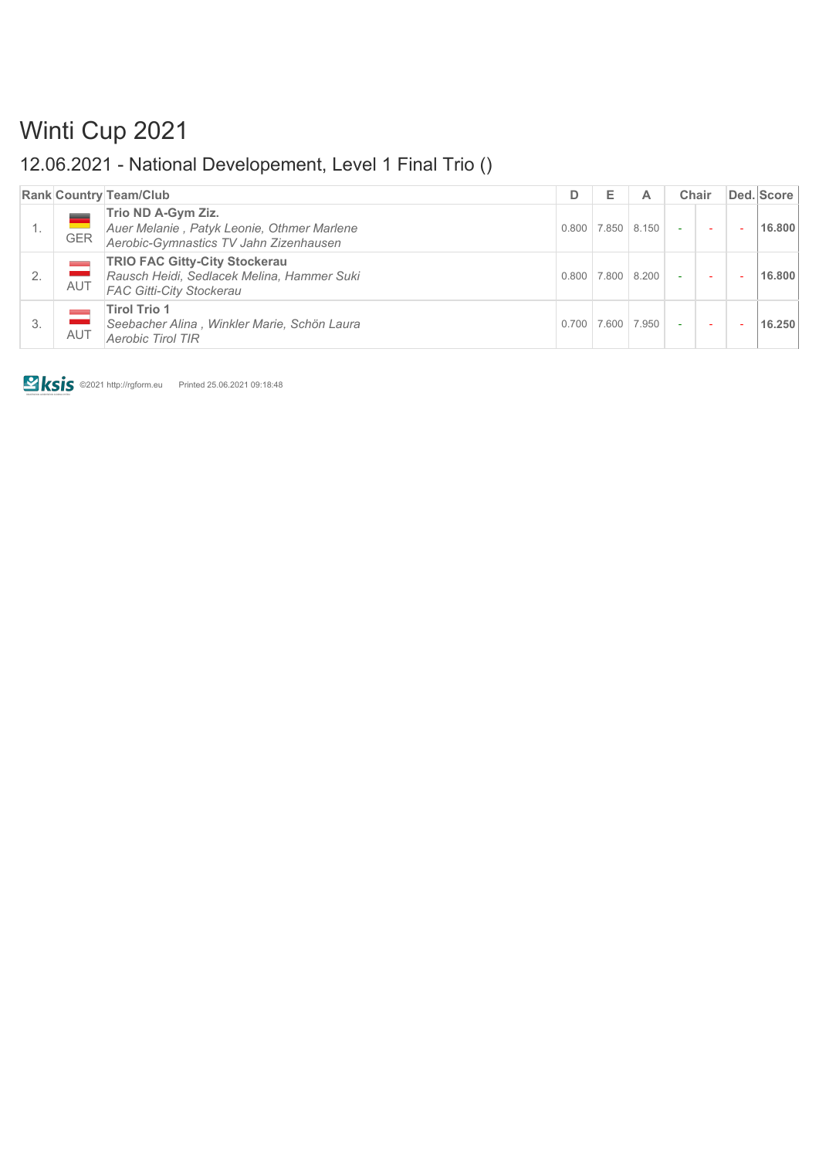# Winti Cup 2021

### 12.06.2021 - National Developement, Level 1 Final Trio ()

|    |            | <b>Rank Country Team/Club</b>                                                                                         | D     | Е     |             | Chair  |  | Ded. Score |
|----|------------|-----------------------------------------------------------------------------------------------------------------------|-------|-------|-------------|--------|--|------------|
| 1. | <b>GER</b> | Trio ND A-Gym Ziz.<br>Auer Melanie, Patyk Leonie, Othmer Marlene<br>Aerobic-Gymnastics TV Jahn Zizenhausen            | 0.800 | 7.850 | 8.150       |        |  | 16,800     |
| 2. | <b>AUT</b> | <b>TRIO FAC Gitty-City Stockerau</b><br>Rausch Heidi, Sedlacek Melina, Hammer Suki<br><b>FAC Gitti-City Stockerau</b> | 0.800 |       | 7.800 8.200 | $\sim$ |  | 16,800     |
| 3. | <b>AUT</b> | <b>Tirol Trio 1</b><br>Seebacher Alina, Winkler Marie, Schön Laura<br><b>Aerobic Tirol TIR</b>                        | 0.700 | 7.600 | 7.950       |        |  | 16.250     |

**EXIS** ©2021 http://rgform.eu Printed 25.06.2021 09:18:48